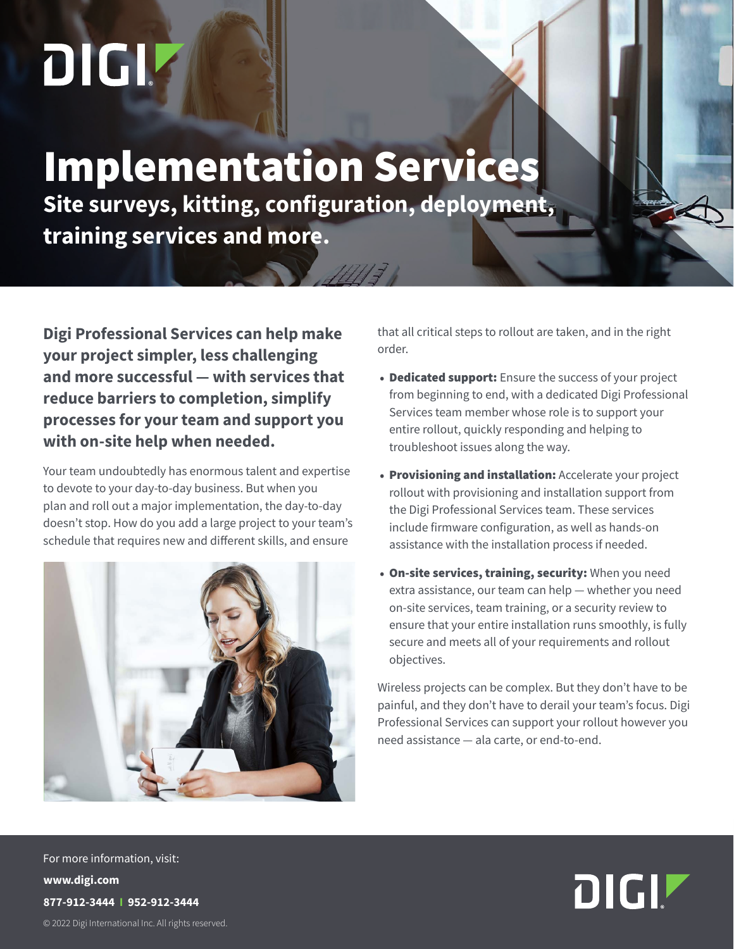# DIGIZ

# Implementation Services **Site surveys, kitting, configuration, deployment, training services and more.**

4773

**Digi Professional Services can help make your project simpler, less challenging and more successful — with services that reduce barriers to completion, simplify processes for your team and support you with on-site help when needed.**

Your team undoubtedly has enormous talent and expertise to devote to your day-to-day business. But when you plan and roll out a major implementation, the day-to-day doesn't stop. How do you add a large project to your team's schedule that requires new and different skills, and ensure



that all critical steps to rollout are taken, and in the right order.

- Dedicated support: Ensure the success of your project from beginning to end, with a dedicated Digi Professional Services team member whose role is to support your entire rollout, quickly responding and helping to troubleshoot issues along the way.
- Provisioning and installation: Accelerate your project rollout with provisioning and installation support from the Digi Professional Services team. These services include firmware configuration, as well as hands-on assistance with the installation process if needed.
- On-site services, training, security: When you need extra assistance, our team can help — whether you need on-site services, team training, or a security review to ensure that your entire installation runs smoothly, is fully secure and meets all of your requirements and rollout objectives.

Wireless projects can be complex. But they don't have to be painful, and they don't have to derail your team's focus. Digi Professional Services can support your rollout however you need assistance — ala carte, or end-to-end.

© 2022 Digi International Inc. All rights reserved. © 2022 Digi International Inc. All rights reserved. For more information, visit: **www.digi.com 877-912-3444 I 952-912-3444**